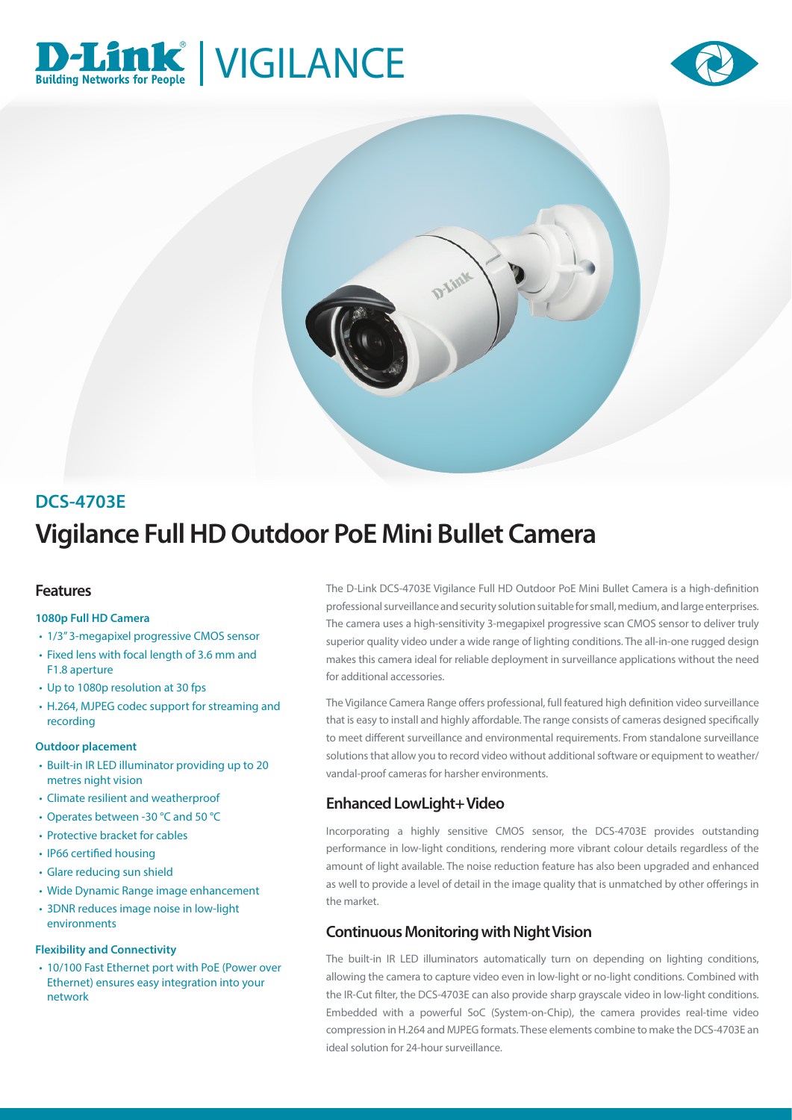





# **Vigilance Full HD Outdoor PoE Mini Bullet Camera DCS-4703E**

## **Features**

#### **1080p Full HD Camera**

- 1/3" 3-megapixel progressive CMOS sensor
- Fixed lens with focal length of 3.6 mm and F1.8 aperture
- Up to 1080p resolution at 30 fps
- H.264, MJPEG codec support for streaming and recording

#### **Outdoor placement**

- Built-in IR LED illuminator providing up to 20 metres night vision
- Climate resilient and weatherproof
- Operates between -30 °C and 50 °C
- Protective bracket for cables
- IP66 certified housing
- Glare reducing sun shield
- Wide Dynamic Range image enhancement
- 3DNR reduces image noise in low-light environments

#### **Flexibility and Connectivity**

• 10/100 Fast Ethernet port with PoE (Power over Ethernet) ensures easy integration into your network

The D-Link DCS-4703E Vigilance Full HD Outdoor PoE Mini Bullet Camera is a high-definition professional surveillance and security solution suitable for small, medium, and large enterprises. The camera uses a high-sensitivity 3-megapixel progressive scan CMOS sensor to deliver truly superior quality video under a wide range of lighting conditions. The all-in-one rugged design makes this camera ideal for reliable deployment in surveillance applications without the need for additional accessories.

The Vigilance Camera Range offers professional, full featured high definition video surveillance that is easy to install and highly affordable. The range consists of cameras designed specifically to meet different surveillance and environmental requirements. From standalone surveillance solutions that allow you to record video without additional software or equipment to weather/ vandal-proof cameras for harsher environments.

# **Enhanced LowLight+ Video**

Incorporating a highly sensitive CMOS sensor, the DCS-4703E provides outstanding performance in low-light conditions, rendering more vibrant colour details regardless of the amount of light available. The noise reduction feature has also been upgraded and enhanced as well to provide a level of detail in the image quality that is unmatched by other offerings in the market.

# **Continuous Monitoring with Night Vision**

The built-in IR LED illuminators automatically turn on depending on lighting conditions, allowing the camera to capture video even in low-light or no-light conditions. Combined with the IR-Cut filter, the DCS-4703E can also provide sharp grayscale video in low-light conditions. Embedded with a powerful SoC (System-on-Chip), the camera provides real-time video compression in H.264 and MJPEG formats. These elements combine to make the DCS-4703E an ideal solution for 24-hour surveillance.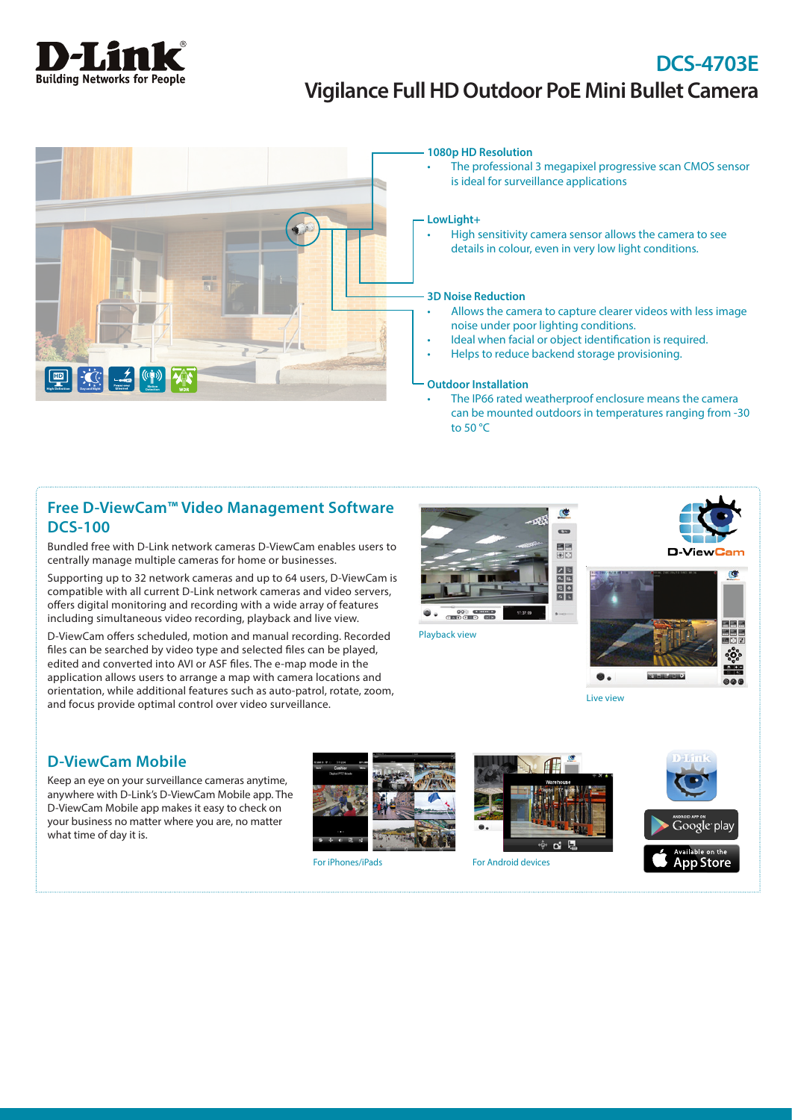

# **DCS-4703E Vigilance Full HD Outdoor PoE Mini Bullet Camera**



#### **1080p HD Resolution**

• The professional 3 megapixel progressive scan CMOS sensor is ideal for surveillance applications

#### **LowLight+**

• High sensitivity camera sensor allows the camera to see details in colour, even in very low light conditions.

#### **3D Noise Reduction**

- Allows the camera to capture clearer videos with less image noise under poor lighting conditions.
- Ideal when facial or object identification is required.
- Helps to reduce backend storage provisioning.

#### **Outdoor Installation**

The IP66 rated weatherproof enclosure means the camera can be mounted outdoors in temperatures ranging from -30 to 50 °C

## **Free D-ViewCam™ Video Management Software DCS-100**

Bundled free with D-Link network cameras D-ViewCam enables users to centrally manage multiple cameras for home or businesses.

Supporting up to 32 network cameras and up to 64 users, D-ViewCam is compatible with all current D-Link network cameras and video servers, offers digital monitoring and recording with a wide array of features including simultaneous video recording, playback and live view.

D-ViewCam offers scheduled, motion and manual recording. Recorded files can be searched by video type and selected files can be played, edited and converted into AVI or ASF files. The e-map mode in the application allows users to arrange a map with camera locations and orientation, while additional features such as auto-patrol, rotate, zoom, and focus provide optimal control over video surveillance.



Playback view





Live view

## **D-ViewCam Mobile**

Keep an eye on your surveillance cameras anytime, anywhere with D-Link's D-ViewCam Mobile app. The D-ViewCam Mobile app makes it easy to check on your business no matter where you are, no matter what time of day it is.



For iPhones/iPads For Android devices





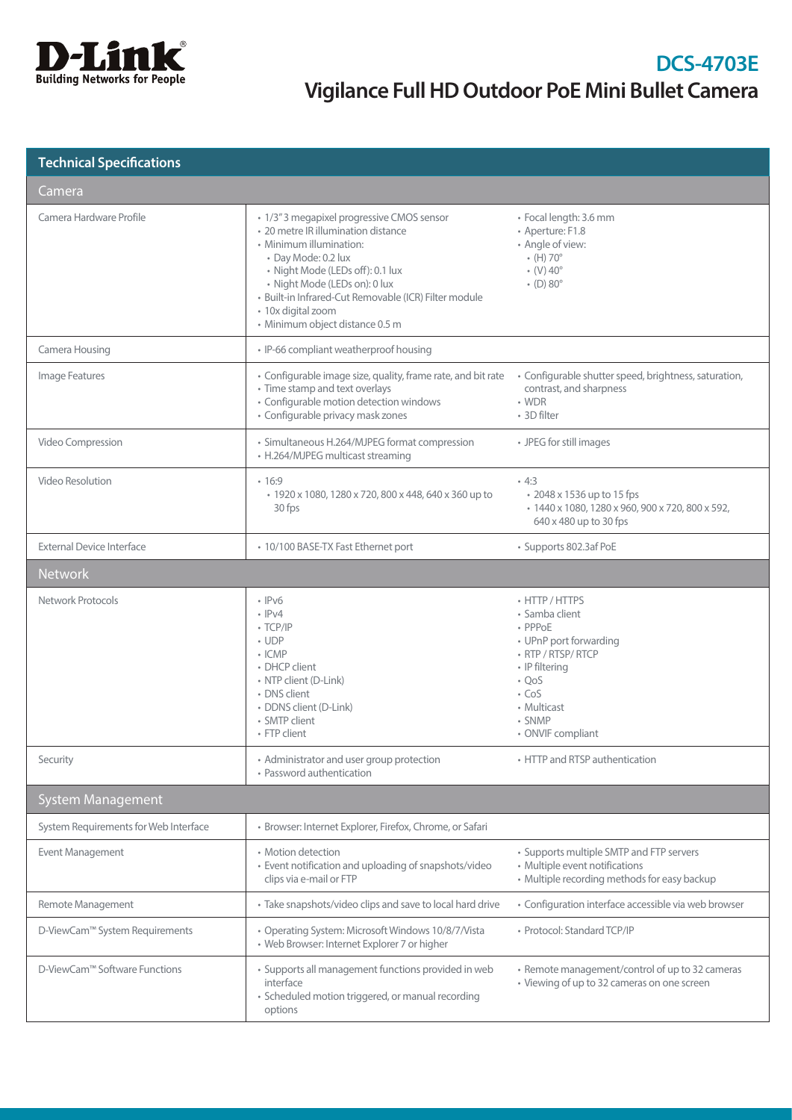

| <b>Technical Specifications</b> |
|---------------------------------|
|                                 |

| Camera                                |                                                                                                                                                                                                                                                                                                                            |                                                                                                                                                                                           |
|---------------------------------------|----------------------------------------------------------------------------------------------------------------------------------------------------------------------------------------------------------------------------------------------------------------------------------------------------------------------------|-------------------------------------------------------------------------------------------------------------------------------------------------------------------------------------------|
| Camera Hardware Profile               | • 1/3" 3 megapixel progressive CMOS sensor<br>• 20 metre IR illumination distance<br>• Minimum illumination:<br>• Day Mode: 0.2 lux<br>· Night Mode (LEDs off): 0.1 lux<br>· Night Mode (LEDs on): 0 lux<br>· Built-in Infrared-Cut Removable (ICR) Filter module<br>· 10x digital zoom<br>· Minimum object distance 0.5 m | · Focal length: 3.6 mm<br>• Aperture: F1.8<br>• Angle of view:<br>$\cdot$ (H) 70 $^{\circ}$<br>$\cdot$ (V) 40 $^{\circ}$<br>$\cdot$ (D) 80 $^{\circ}$                                     |
| Camera Housing                        | · IP-66 compliant weatherproof housing                                                                                                                                                                                                                                                                                     |                                                                                                                                                                                           |
| Image Features                        | • Configurable image size, quality, frame rate, and bit rate<br>• Time stamp and text overlays<br>· Configurable motion detection windows<br>• Configurable privacy mask zones                                                                                                                                             | • Configurable shutter speed, brightness, saturation,<br>contrast, and sharpness<br>$\cdot$ WDR<br>• 3D filter                                                                            |
| Video Compression                     | • Simultaneous H.264/MJPEG format compression<br>• H.264/MJPEG multicast streaming                                                                                                                                                                                                                                         | • JPEG for still images                                                                                                                                                                   |
| Video Resolution                      | •16:9<br>• 1920 x 1080, 1280 x 720, 800 x 448, 640 x 360 up to<br>30 fps                                                                                                                                                                                                                                                   | .4:3<br>• 2048 x 1536 up to 15 fps<br>• 1440 x 1080, 1280 x 960, 900 x 720, 800 x 592,<br>640 x 480 up to 30 fps                                                                          |
| <b>External Device Interface</b>      | • 10/100 BASE-TX Fast Ethernet port                                                                                                                                                                                                                                                                                        | • Supports 802.3af PoE                                                                                                                                                                    |
| <b>Network</b>                        |                                                                                                                                                                                                                                                                                                                            |                                                                                                                                                                                           |
| Network Protocols                     | $\cdot$ IPv6<br>$\cdot$ IPv4<br>$\cdot$ TCP/IP<br>$\cdot$ UDP<br>$\cdot$ ICMP<br>• DHCP client<br>• NTP client (D-Link)<br>• DNS client<br>· DDNS client (D-Link)<br>• SMTP client<br>• FTP client                                                                                                                         | • HTTP / HTTPS<br>• Samba client<br>• PPPoE<br>• UPnP port forwarding<br>• RTP / RTSP/ RTCP<br>• IP filtering<br>$\cdot$ QoS<br>$\cdot$ CoS<br>• Multicast<br>• SNMP<br>• ONVIF compliant |
| Security                              | • Administrator and user group protection<br>• Password authentication                                                                                                                                                                                                                                                     | • HTTP and RTSP authentication                                                                                                                                                            |
| <b>System Management</b>              |                                                                                                                                                                                                                                                                                                                            |                                                                                                                                                                                           |
| System Requirements for Web Interface | · Browser: Internet Explorer, Firefox, Chrome, or Safari                                                                                                                                                                                                                                                                   |                                                                                                                                                                                           |
| Event Management                      | • Motion detection<br>• Event notification and uploading of snapshots/video<br>clips via e-mail or FTP                                                                                                                                                                                                                     | • Supports multiple SMTP and FTP servers<br>• Multiple event notifications<br>• Multiple recording methods for easy backup                                                                |
| Remote Management                     | • Take snapshots/video clips and save to local hard drive                                                                                                                                                                                                                                                                  | • Configuration interface accessible via web browser                                                                                                                                      |
| D-ViewCam™ System Requirements        | • Operating System: Microsoft Windows 10/8/7/Vista<br>• Web Browser: Internet Explorer 7 or higher                                                                                                                                                                                                                         | • Protocol: Standard TCP/IP                                                                                                                                                               |
| D-ViewCam™ Software Functions         | · Supports all management functions provided in web<br>interface<br>· Scheduled motion triggered, or manual recording<br>options                                                                                                                                                                                           | • Remote management/control of up to 32 cameras<br>• Viewing of up to 32 cameras on one screen                                                                                            |